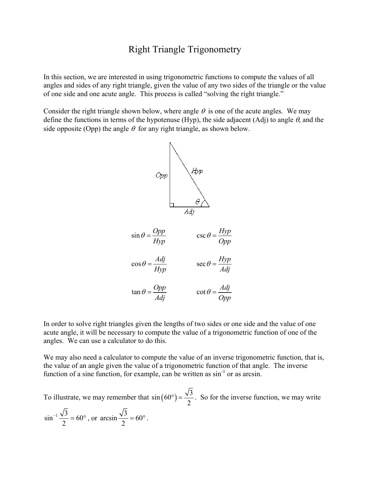## Right Triangle Trigonometry

In this section, we are interested in using trigonometric functions to compute the values of all angles and sides of any right triangle, given the value of any two sides of the triangle or the value of one side and one acute angle. This process is called "solving the right triangle."

Consider the right triangle shown below, where angle  $\theta$  is one of the acute angles. We may define the functions in terms of the hypotenuse (Hyp), the side adjacent (Adj) to angle  $\theta$ , and the side opposite (Opp) the angle  $\theta$  for any right triangle, as shown below.



In order to solve right triangles given the lengths of two sides or one side and the value of one acute angle, it will be necessary to compute the value of a trigonometric function of one of the angles. We can use a calculator to do this.

We may also need a calculator to compute the value of an inverse trigonometric function, that is, the value of an angle given the value of a trigonometric function of that angle. The inverse function of a sine function, for example, can be written as  $\sin^{-1}$  or as arcsin.

To illustrate, we may remember that  $sin(60^\circ) = \frac{\sqrt{3}}{2}$ 2  $\sigma$ ) =  $\frac{\sqrt{3}}{2}$ . So for the inverse function, we may write  $\sin^{-1} \frac{\sqrt{3}}{2} = 60$  $\frac{\sqrt{3}}{2}$  = 60°, or arcsin  $\frac{\sqrt{3}}{2}$  = 60  $= 60^{\circ}$ .

2

2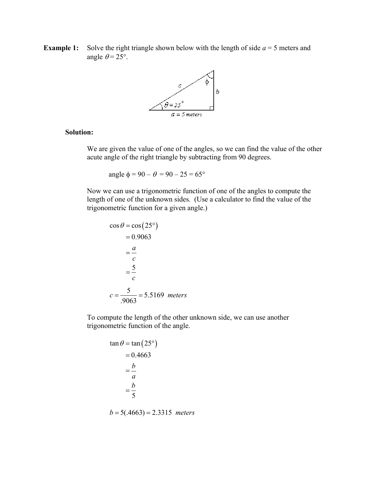**Example 1:** Solve the right triangle shown below with the length of side  $a = 5$  meters and angle  $\theta = 25^\circ$ .



## **Solution:**

We are given the value of one of the angles, so we can find the value of the other acute angle of the right triangle by subtracting from 90 degrees.

angle  $\phi = 90 - \theta = 90 - 25 = 65^{\circ}$ 

Now we can use a trigonometric function of one of the angles to compute the length of one of the unknown sides. (Use a calculator to find the value of the trigonometric function for a given angle.)

$$
\cos \theta = \cos(25^\circ)
$$
  
= 0.9063  
=  $\frac{a}{c}$   
=  $\frac{5}{c}$   
 $c = \frac{5}{.9063} = 5.5169$  meters

To compute the length of the other unknown side, we can use another trigonometric function of the angle.

$$
\tan \theta = \tan (25^\circ)
$$
  
= 0.4663  
=  $\frac{b}{a}$   
=  $\frac{b}{5}$ 

 $b = 5(.4663) = 2.3315$  *meters*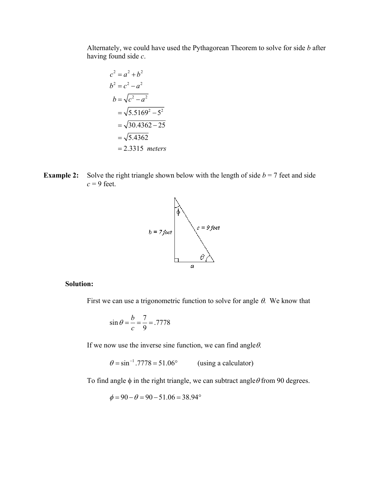Alternately, we could have used the Pythagorean Theorem to solve for side *b* after having found side *c*.

$$
c2 = a2 + b2
$$
  
\n
$$
b2 = c2 - a2
$$
  
\n
$$
b = \sqrt{c2 - a2}
$$
  
\n
$$
= \sqrt{5.51692 - 52}
$$
  
\n
$$
= \sqrt{30.4362 - 25}
$$
  
\n
$$
= \sqrt{5.4362}
$$
  
\n
$$
= 2.3315
$$
 meters

**Example 2:** Solve the right triangle shown below with the length of side  $b = 7$  feet and side  $c = 9$  feet.



## **Solution:**

First we can use a trigonometric function to solve for angle  $\theta$ . We know that

$$
\sin \theta = \frac{b}{c} = \frac{7}{9} = .7778
$$

If we now use the inverse sine function, we can find angle  $\theta$ .

 $\theta = \sin^{-1} .7778 = 51.06^{\circ}$  (using a calculator)

To find angle  $\phi$  in the right triangle, we can subtract angle  $\theta$  from 90 degrees.

$$
\phi = 90 - \theta = 90 - 51.06 = 38.94^{\circ}
$$